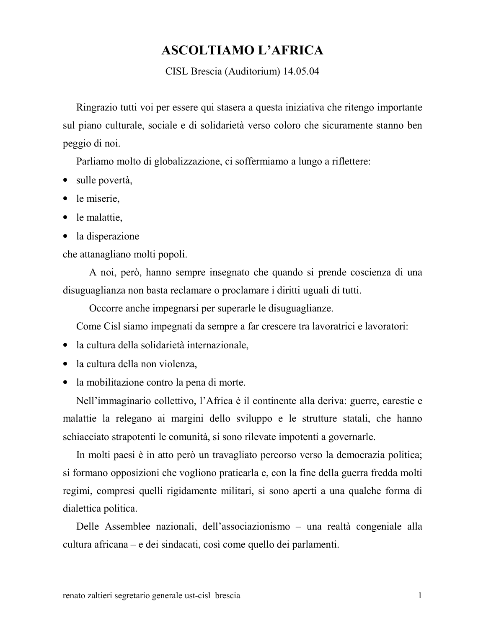## **ASCOLTIAMO L'AFRICA**

CISL Brescia (Auditorium) 14.05.04

Ringrazio tutti voi per essere qui stasera a questa iniziativa che ritengo importante sul piano culturale, sociale e di solidarietà verso coloro che sicuramente stanno ben peggio di noi.

Parliamo molto di globalizzazione, ci soffermiamo a lungo a riflettere:

- $\bullet$  sulle povertà,
- $\bullet$  le miserie,
- $\bullet$  le malattie,
- la disperazione

che attanagliano molti popoli.

A noi, però, hanno sempre insegnato che quando si prende coscienza di una disuguaglianza non basta reclamare o proclamare i diritti uguali di tutti.

Occorre anche impegnarsi per superarle le disuguaglianze.

Come Cisl siamo impegnati da sempre a far crescere tra lavoratrici e lavoratori:

- · la cultura della solidarietà internazionale.
- la cultura della non violenza,
- la mobilitazione contro la pena di morte.

Nell'immaginario collettivo, l'Africa è il continente alla deriva: guerre, carestie e malattie la relegano ai margini dello sviluppo e le strutture statali, che hanno schiacciato strapotenti le comunità, si sono rilevate impotenti a governarle.

In molti paesi è in atto però un travagliato percorso verso la democrazia politica; si formano opposizioni che vogliono praticarla e, con la fine della guerra fredda molti regimi, compresi quelli rigidamente militari, si sono aperti a una qualche forma di dialettica politica.

Delle Assemblee nazionali, dell'associazionismo – una realtà congeniale alla cultura africana – e dei sindacati, così come quello dei parlamenti.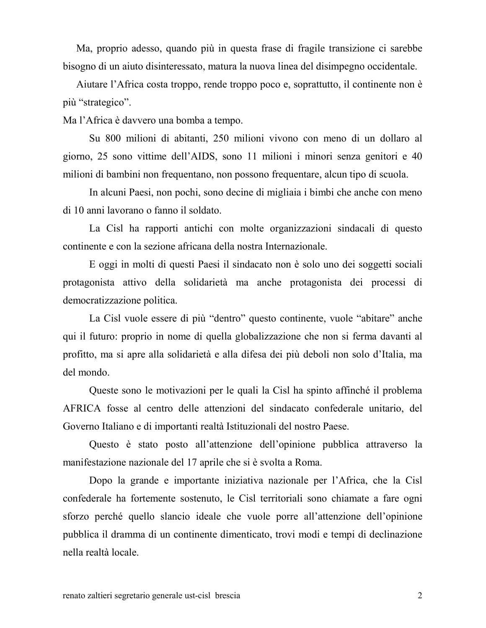Ma, proprio adesso, quando più in questa frase di fragile transizione ci sarebbe bisogno di un aiuto disinteressato, matura la nuova linea del disimpegno occidentale.

Aiutare l'Africa costa troppo, rende troppo poco e, soprattutto, il continente non è più "strategico".

Ma l'Africa è davvero una bomba a tempo.

Su 800 milioni di abitanti, 250 milioni vivono con meno di un dollaro al giorno, 25 sono vittime dell'AIDS, sono 11 milioni i minori senza genitori e 40 milioni di bambini non frequentano, non possono frequentare, alcun tipo di scuola.

In alcuni Paesi, non pochi, sono decine di migliaia i bimbi che anche con meno di 10 anni lavorano o fanno il soldato.

La Cisl ha rapporti antichi con molte organizzazioni sindacali di questo continente e con la sezione africana della nostra Internazionale.

E oggi in molti di questi Paesi il sindacato non è solo uno dei soggetti sociali protagonista attivo della solidarietà ma anche protagonista dei processi di democratizzazione politica.

La Cisl vuole essere di più "dentro" questo continente, vuole "abitare" anche qui il futuro: proprio in nome di quella globalizzazione che non si ferma davanti al profitto, ma si apre alla solidarietà e alla difesa dei più deboli non solo d'Italia, ma del mondo.

Queste sono le motivazioni per le quali la Cisl ha spinto affinché il problema AFRICA fosse al centro delle attenzioni del sindacato confederale unitario, del Governo Italiano e di importanti realtà Istituzionali del nostro Paese.

Questo è stato posto all'attenzione dell'opinione pubblica attraverso la manifestazione nazionale del 17 aprile che si è svolta a Roma.

Dopo la grande e importante iniziativa nazionale per l'Africa, che la Cisl confederale ha fortemente sostenuto, le Cisl territoriali sono chiamate a fare ogni sforzo perché quello slancio ideale che vuole porre all'attenzione dell'opinione pubblica il dramma di un continente dimenticato, trovi modi e tempi di declinazione nella realtà locale.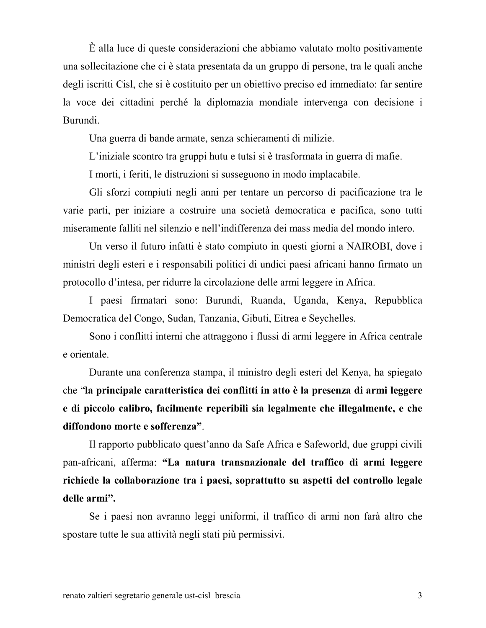$\hat{E}$  alla luce di queste considerazioni che abbiamo valutato molto positivamente una sollecitazione che ci è stata presentata da un gruppo di persone, tra le quali anche degli iscritti Cisl, che si è costituito per un obiettivo preciso ed immediato: far sentire la voce dei cittadini perché la diplomazia mondiale intervenga con decisione i Burundi.

Una guerra di bande armate, senza schieramenti di milizie.

L'iniziale scontro tra gruppi hutu e tutsi si è trasformata in guerra di mafie.

I morti, i feriti, le distruzioni si susseguono in modo implacabile.

Gli sforzi compiuti negli anni per tentare un percorso di pacificazione tra le varie parti, per iniziare a costruire una società democratica e pacifica, sono tutti miseramente falliti nel silenzio e nell'indifferenza dei mass media del mondo intero.

Un verso il futuro infatti è stato compiuto in questi giorni a NAIROBI, dove i ministri degli esteri e i responsabili politici di undici paesi africani hanno firmato un protocollo d'intesa, per ridurre la circolazione delle armi leggere in Africa.

I paesi firmatari sono: Burundi, Ruanda, Uganda, Kenya, Repubblica Democratica del Congo, Sudan, Tanzania, Gibuti, Eitrea e Seychelles.

Sono i conflitti interni che attraggono i flussi di armi leggere in Africa centrale e orientale.

Durante una conferenza stampa, il ministro degli esteri del Kenya, ha spiegato che "la principale caratteristica dei conflitti in atto è la presenza di armi leggere e di piccolo calibro, facilmente reperibili sia legalmente che illegalmente, e che diffondono morte e sofferenza".

Il rapporto pubblicato quest'anno da Safe Africa e Safeworld, due gruppi civili pan-africani, afferma: "La natura transnazionale del traffico di armi leggere richiede la collaborazione tra i paesi, soprattutto su aspetti del controllo legale delle armi".

Se i paesi non avranno leggi uniformi, il traffico di armi non farà altro che spostare tutte le sua attività negli stati più permissivi.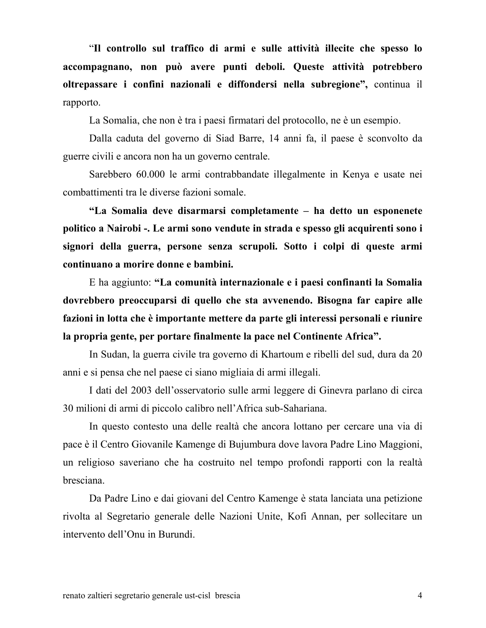"Il controllo sul traffico di armi e sulle attività illecite che spesso lo accompagnano, non può avere punti deboli. Queste attività potrebbero oltrepassare i confini nazionali e diffondersi nella subregione", continua il rapporto.

La Somalia, che non è tra i paesi firmatari del protocollo, ne è un esempio.

Dalla caduta del governo di Siad Barre, 14 anni fa, il paese è sconvolto da guerre civili e ancora non ha un governo centrale.

Sarebbero 60.000 le armi contrabbandate illegalmente in Kenya e usate nei combattimenti tra le diverse fazioni somale.

"La Somalia deve disarmarsi completamente - ha detto un esponenete politico a Nairobi -. Le armi sono vendute in strada e spesso gli acquirenti sono i signori della guerra, persone senza scrupoli. Sotto i colpi di queste armi continuano a morire donne e bambini.

E ha aggiunto: "La comunità internazionale e i paesi confinanti la Somalia dovrebbero preoccuparsi di quello che sta avvenendo. Bisogna far capire alle fazioni in lotta che è importante mettere da parte gli interessi personali e riunire la propria gente, per portare finalmente la pace nel Continente Africa".

In Sudan, la guerra civile tra governo di Khartoum e ribelli del sud, dura da 20 anni e si pensa che nel paese ci siano migliaia di armi illegali.

I dati del 2003 dell'osservatorio sulle armi leggere di Ginevra parlano di circa 30 milioni di armi di piccolo calibro nell'Africa sub-Sahariana.

In questo contesto una delle realtà che ancora lottano per cercare una via di pace è il Centro Giovanile Kamenge di Bujumbura dove lavora Padre Lino Maggioni, un religioso saveriano che ha costruito nel tempo profondi rapporti con la realtà bresciana.

Da Padre Lino e dai giovani del Centro Kamenge è stata lanciata una petizione rivolta al Segretario generale delle Nazioni Unite, Kofi Annan, per sollecitare un intervento dell'Onu in Burundi